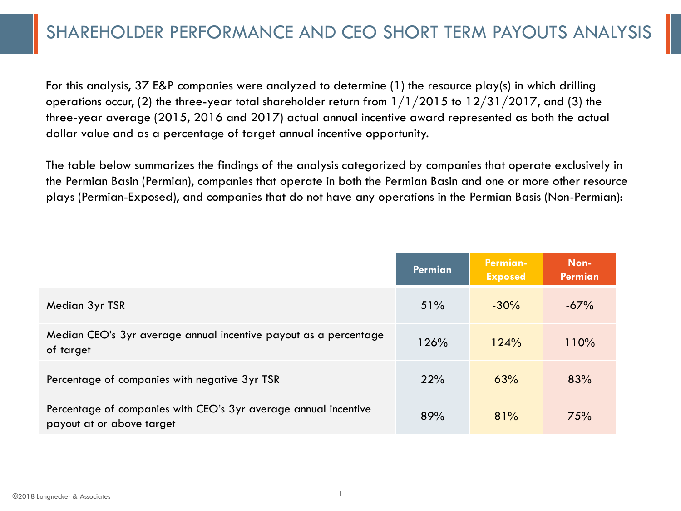### SHAREHOLDER PERFORMANCE AND CEO SHORT TERM PAYOUTS ANALYSIS

For this analysis, 37 E&P companies were analyzed to determine (1) the resource play(s) in which drilling operations occur, (2) the three-year total shareholder return from  $1/1/2015$  to  $12/31/2017$ , and (3) the three-year average (2015, 2016 and 2017) actual annual incentive award represented as both the actual dollar value and as a percentage of target annual incentive opportunity.

The table below summarizes the findings of the analysis categorized by companies that operate exclusively in the Permian Basin (Permian), companies that operate in both the Permian Basin and one or more other resource plays (Permian-Exposed), and companies that do not have any operations in the Permian Basis (Non-Permian):

|                                                                                              | Permian | <b>Permian-</b><br><b>Exposed</b> | Non-<br>Permian |
|----------------------------------------------------------------------------------------------|---------|-----------------------------------|-----------------|
| Median 3yr TSR                                                                               | 51%     | $-30%$                            | $-67%$          |
| Median CEO's 3yr average annual incentive payout as a percentage<br>of target                | 126%    | 124%                              | 110%            |
| Percentage of companies with negative 3yr TSR                                                | 22%     | 63%                               | 83%             |
| Percentage of companies with CEO's 3yr average annual incentive<br>payout at or above target | 89%     | 81%                               | 75%             |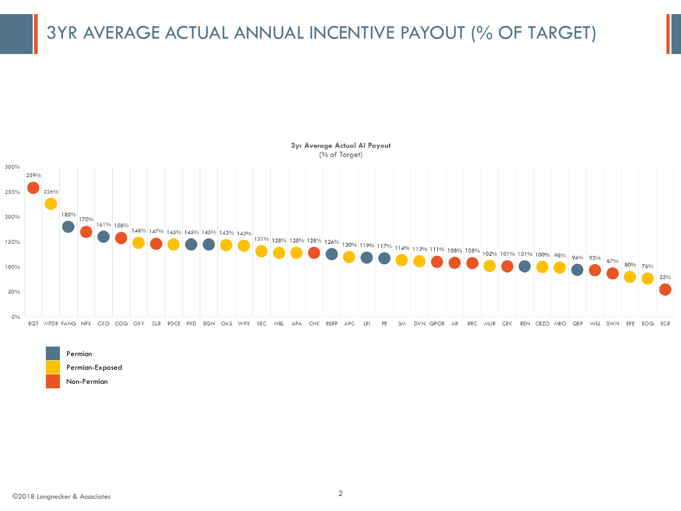# 3YR AVERAGE ACTUAL ANNUAL INCENTIVE PAYOUT (% OF TARGET)



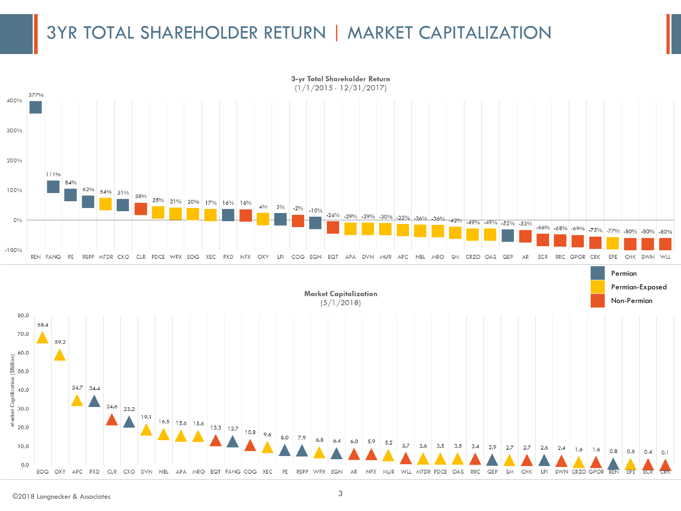### 3YR TOTAL SHAREHOLDER RETURN | MARKET CAPITALIZATION

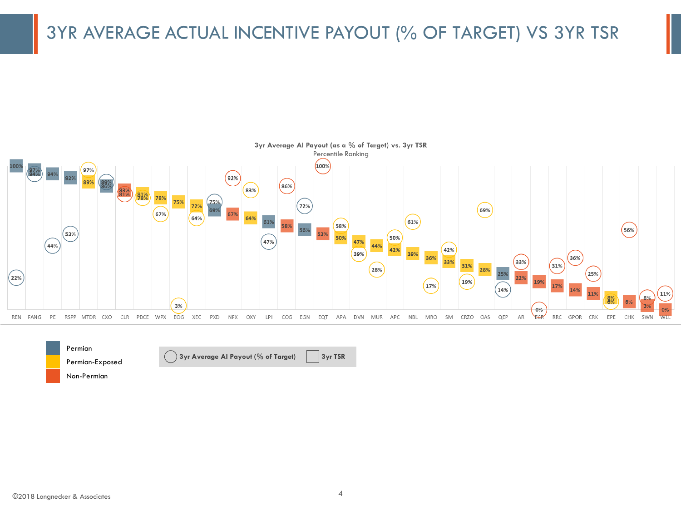# 3YR AVERAGE ACTUAL INCENTIVE PAYOUT (% OF TARGET) VS 3YR TSR